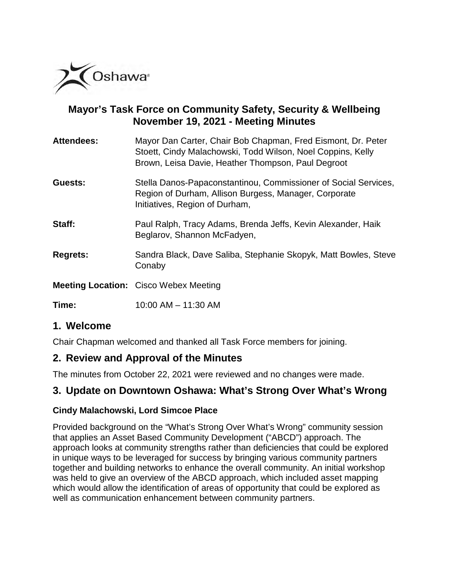

## **Mayor's Task Force on Community Safety, Security & Wellbeing November 19, 2021 - Meeting Minutes**

| <b>Attendees:</b> | Mayor Dan Carter, Chair Bob Chapman, Fred Eismont, Dr. Peter |
|-------------------|--------------------------------------------------------------|
|                   | Stoett, Cindy Malachowski, Todd Wilson, Noel Coppins, Kelly  |
|                   | Brown, Leisa Davie, Heather Thompson, Paul Degroot           |

- **Guests:** Stella Danos-Papaconstantinou, Commissioner of Social Services, Region of Durham, Allison Burgess, Manager, Corporate Initiatives, Region of Durham,
- **Staff:** Paul Ralph, Tracy Adams, Brenda Jeffs, Kevin Alexander, Haik Beglarov, Shannon McFadyen,
- **Regrets:** Sandra Black, Dave Saliba, Stephanie Skopyk, Matt Bowles, Steve Conaby
- **Meeting Location:** Cisco Webex Meeting

**Time:** 10:00 AM – 11:30 AM

## **1. Welcome**

Chair Chapman welcomed and thanked all Task Force members for joining.

## **2. Review and Approval of the Minutes**

The minutes from October 22, 2021 were reviewed and no changes were made.

# **3. Update on Downtown Oshawa: What's Strong Over What's Wrong**

#### **Cindy Malachowski, Lord Simcoe Place**

Provided background on the "What's Strong Over What's Wrong" community session that applies an Asset Based Community Development ("ABCD") approach. The approach looks at community strengths rather than deficiencies that could be explored in unique ways to be leveraged for success by bringing various community partners together and building networks to enhance the overall community. An initial workshop was held to give an overview of the ABCD approach, which included asset mapping which would allow the identification of areas of opportunity that could be explored as well as communication enhancement between community partners.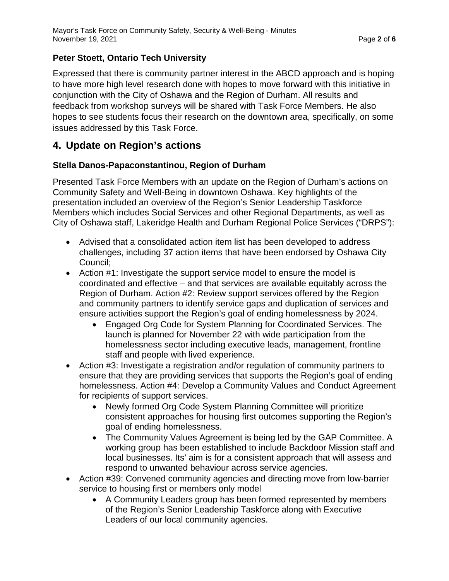### **Peter Stoett, Ontario Tech University**

Expressed that there is community partner interest in the ABCD approach and is hoping to have more high level research done with hopes to move forward with this initiative in conjunction with the City of Oshawa and the Region of Durham. All results and feedback from workshop surveys will be shared with Task Force Members. He also hopes to see students focus their research on the downtown area, specifically, on some issues addressed by this Task Force.

## **4. Update on Region's actions**

### **Stella Danos-Papaconstantinou, Region of Durham**

Presented Task Force Members with an update on the Region of Durham's actions on Community Safety and Well-Being in downtown Oshawa. Key highlights of the presentation included an overview of the Region's Senior Leadership Taskforce Members which includes Social Services and other Regional Departments, as well as City of Oshawa staff, Lakeridge Health and Durham Regional Police Services ("DRPS"):

- Advised that a consolidated action item list has been developed to address challenges, including 37 action items that have been endorsed by Oshawa City Council;
- Action #1: Investigate the support service model to ensure the model is coordinated and effective – and that services are available equitably across the Region of Durham. Action #2: Review support services offered by the Region and community partners to identify service gaps and duplication of services and ensure activities support the Region's goal of ending homelessness by 2024.
	- Engaged Org Code for System Planning for Coordinated Services. The launch is planned for November 22 with wide participation from the homelessness sector including executive leads, management, frontline staff and people with lived experience.
- Action #3: Investigate a registration and/or regulation of community partners to ensure that they are providing services that supports the Region's goal of ending homelessness. Action #4: Develop a Community Values and Conduct Agreement for recipients of support services.
	- Newly formed Org Code System Planning Committee will prioritize consistent approaches for housing first outcomes supporting the Region's goal of ending homelessness.
	- The Community Values Agreement is being led by the GAP Committee. A working group has been established to include Backdoor Mission staff and local businesses. Its' aim is for a consistent approach that will assess and respond to unwanted behaviour across service agencies.
- Action #39: Convened community agencies and directing move from low-barrier service to housing first or members only model
	- A Community Leaders group has been formed represented by members of the Region's Senior Leadership Taskforce along with Executive Leaders of our local community agencies.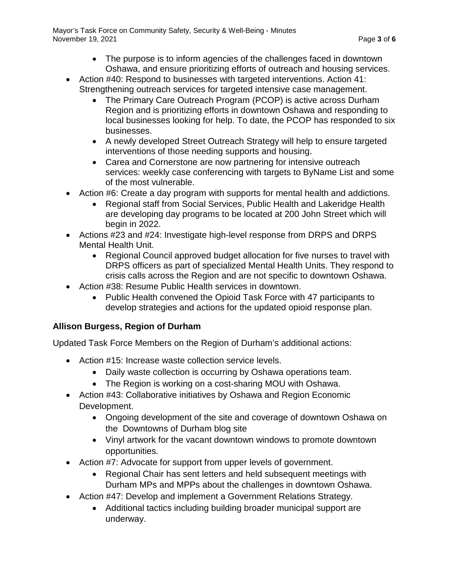Mayor's Task Force on Community Safety, Security & Well-Being - Minutes November 19, 2021 **Page 3** of **6** 

- The purpose is to inform agencies of the challenges faced in downtown Oshawa, and ensure prioritizing efforts of outreach and housing services.
- Action #40: Respond to businesses with targeted interventions. Action 41: Strengthening outreach services for targeted intensive case management.
	- The Primary Care Outreach Program (PCOP) is active across Durham Region and is prioritizing efforts in downtown Oshawa and responding to local businesses looking for help. To date, the PCOP has responded to six businesses.
	- A newly developed Street Outreach Strategy will help to ensure targeted interventions of those needing supports and housing.
	- Carea and Cornerstone are now partnering for intensive outreach services: weekly case conferencing with targets to ByName List and some of the most vulnerable.
- Action #6: Create a day program with supports for mental health and addictions.
	- Regional staff from Social Services, Public Health and Lakeridge Health are developing day programs to be located at 200 John Street which will begin in 2022.
- Actions #23 and #24: Investigate high-level response from DRPS and DRPS Mental Health Unit.
	- Regional Council approved budget allocation for five nurses to travel with DRPS officers as part of specialized Mental Health Units. They respond to crisis calls across the Region and are not specific to downtown Oshawa.
- Action #38: Resume Public Health services in downtown.
	- Public Health convened the Opioid Task Force with 47 participants to develop strategies and actions for the updated opioid response plan.

#### **Allison Burgess, Region of Durham**

Updated Task Force Members on the Region of Durham's additional actions:

- Action #15: Increase waste collection service levels.
	- Daily waste collection is occurring by Oshawa operations team.
	- The Region is working on a cost-sharing MOU with Oshawa.
- Action #43: Collaborative initiatives by Oshawa and Region Economic Development.
	- Ongoing development of the site and coverage of downtown Oshawa on the Downtowns of Durham blog site
	- Vinyl artwork for the vacant downtown windows to promote downtown opportunities.
- Action #7: Advocate for support from upper levels of government.
	- Regional Chair has sent letters and held subsequent meetings with Durham MPs and MPPs about the challenges in downtown Oshawa.
- Action #47: Develop and implement a Government Relations Strategy.
	- Additional tactics including building broader municipal support are underway.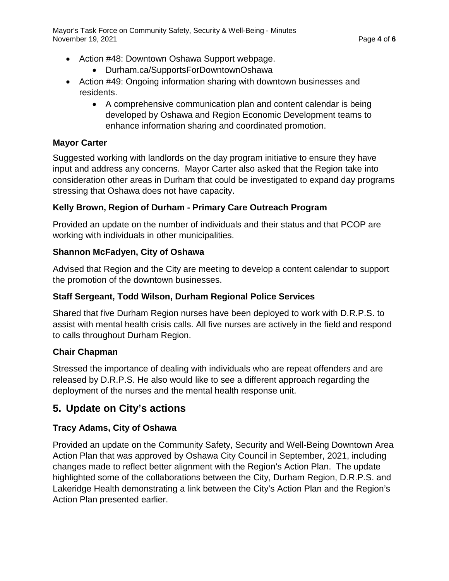- Action #48: Downtown Oshawa Support webpage.
	- Durham.ca/SupportsForDowntownOshawa
- Action #49: Ongoing information sharing with downtown businesses and residents.
	- A comprehensive communication plan and content calendar is being developed by Oshawa and Region Economic Development teams to enhance information sharing and coordinated promotion.

#### **Mayor Carter**

Suggested working with landlords on the day program initiative to ensure they have input and address any concerns. Mayor Carter also asked that the Region take into consideration other areas in Durham that could be investigated to expand day programs stressing that Oshawa does not have capacity.

## **Kelly Brown, Region of Durham - Primary Care Outreach Program**

Provided an update on the number of individuals and their status and that PCOP are working with individuals in other municipalities.

### **Shannon McFadyen, City of Oshawa**

Advised that Region and the City are meeting to develop a content calendar to support the promotion of the downtown businesses.

## **Staff Sergeant, Todd Wilson, Durham Regional Police Services**

Shared that five Durham Region nurses have been deployed to work with D.R.P.S. to assist with mental health crisis calls. All five nurses are actively in the field and respond to calls throughout Durham Region.

#### **Chair Chapman**

Stressed the importance of dealing with individuals who are repeat offenders and are released by D.R.P.S. He also would like to see a different approach regarding the deployment of the nurses and the mental health response unit.

# **5. Update on City's actions**

## **Tracy Adams, City of Oshawa**

Provided an update on the Community Safety, Security and Well-Being Downtown Area Action Plan that was approved by Oshawa City Council in September, 2021, including changes made to reflect better alignment with the Region's Action Plan. The update highlighted some of the collaborations between the City, Durham Region, D.R.P.S. and Lakeridge Health demonstrating a link between the City's Action Plan and the Region's Action Plan presented earlier.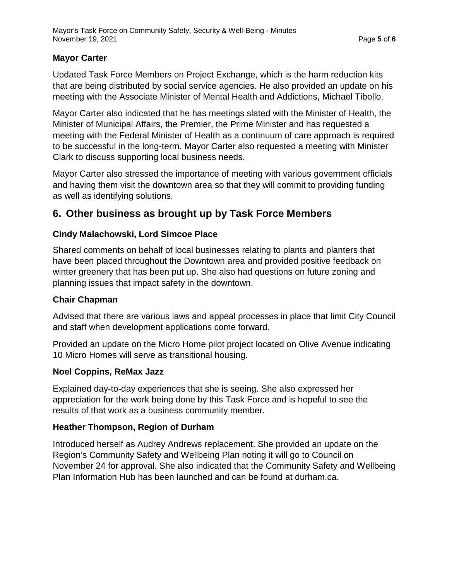#### **Mayor Carter**

Updated Task Force Members on Project Exchange, which is the harm reduction kits that are being distributed by social service agencies. He also provided an update on his meeting with the Associate Minister of Mental Health and Addictions, Michael Tibollo.

Mayor Carter also indicated that he has meetings slated with the Minister of Health, the Minister of Municipal Affairs, the Premier, the Prime Minister and has requested a meeting with the Federal Minister of Health as a continuum of care approach is required to be successful in the long-term. Mayor Carter also requested a meeting with Minister Clark to discuss supporting local business needs.

Mayor Carter also stressed the importance of meeting with various government officials and having them visit the downtown area so that they will commit to providing funding as well as identifying solutions.

# **6. Other business as brought up by Task Force Members**

## **Cindy Malachowski, Lord Simcoe Place**

Shared comments on behalf of local businesses relating to plants and planters that have been placed throughout the Downtown area and provided positive feedback on winter greenery that has been put up. She also had questions on future zoning and planning issues that impact safety in the downtown.

#### **Chair Chapman**

Advised that there are various laws and appeal processes in place that limit City Council and staff when development applications come forward.

Provided an update on the Micro Home pilot project located on Olive Avenue indicating 10 Micro Homes will serve as transitional housing.

#### **Noel Coppins, ReMax Jazz**

Explained day-to-day experiences that she is seeing. She also expressed her appreciation for the work being done by this Task Force and is hopeful to see the results of that work as a business community member.

#### **Heather Thompson, Region of Durham**

Introduced herself as Audrey Andrews replacement. She provided an update on the Region's Community Safety and Wellbeing Plan noting it will go to Council on November 24 for approval. She also indicated that the Community Safety and Wellbeing Plan Information Hub has been launched and can be found at durham.ca.